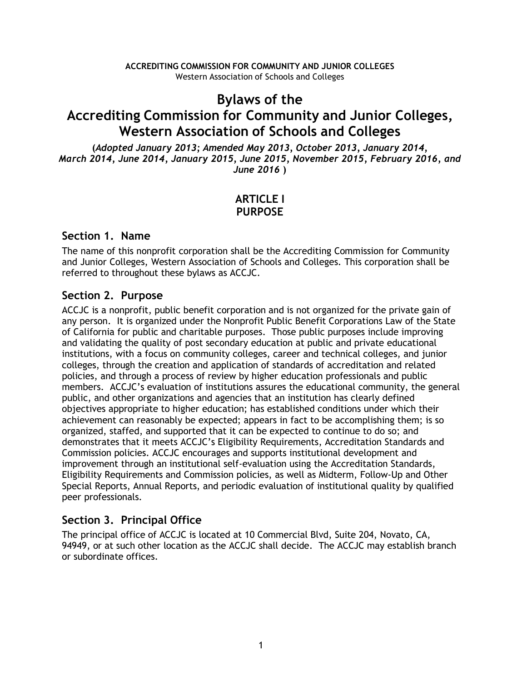### **Bylaws of the**

# **Accrediting Commission for Community and Junior Colleges, Western Association of Schools and Colleges**

**(***Adopted January 2013; Amended May 2013, October 2013, January 2014, March 2014, June 2014, January 2015, June 2015, November 2015, February 2016, and June 2016* **)**

# **ARTICLE I PURPOSE**

### **Section 1. Name**

The name of this nonprofit corporation shall be the Accrediting Commission for Community and Junior Colleges, Western Association of Schools and Colleges. This corporation shall be referred to throughout these bylaws as ACCJC.

### **Section 2. Purpose**

ACCJC is a nonprofit, public benefit corporation and is not organized for the private gain of any person. It is organized under the Nonprofit Public Benefit Corporations Law of the State of California for public and charitable purposes. Those public purposes include improving and validating the quality of post secondary education at public and private educational institutions, with a focus on community colleges, career and technical colleges, and junior colleges, through the creation and application of standards of accreditation and related policies, and through a process of review by higher education professionals and public members. ACCJC's evaluation of institutions assures the educational community, the general public, and other organizations and agencies that an institution has clearly defined objectives appropriate to higher education; has established conditions under which their achievement can reasonably be expected; appears in fact to be accomplishing them; is so organized, staffed, and supported that it can be expected to continue to do so; and demonstrates that it meets ACCJC's Eligibility Requirements, Accreditation Standards and Commission policies. ACCJC encourages and supports institutional development and improvement through an institutional self-evaluation using the Accreditation Standards, Eligibility Requirements and Commission policies, as well as Midterm, Follow-Up and Other Special Reports, Annual Reports, and periodic evaluation of institutional quality by qualified peer professionals.

# **Section 3. Principal Office**

The principal office of ACCJC is located at 10 Commercial Blvd, Suite 204, Novato, CA, 94949, or at such other location as the ACCJC shall decide. The ACCJC may establish branch or subordinate offices.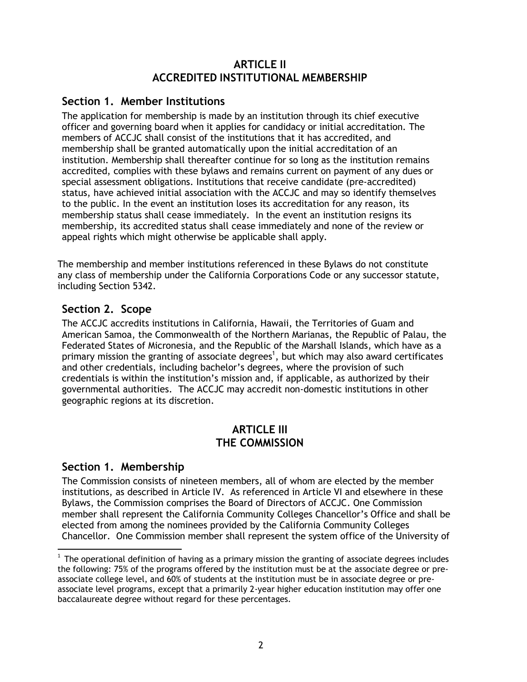#### **ARTICLE II ACCREDITED INSTITUTIONAL MEMBERSHIP**

### **Section 1. Member Institutions**

The application for membership is made by an institution through its chief executive officer and governing board when it applies for candidacy or initial accreditation. The members of ACCJC shall consist of the institutions that it has accredited, and membership shall be granted automatically upon the initial accreditation of an institution. Membership shall thereafter continue for so long as the institution remains accredited, complies with these bylaws and remains current on payment of any dues or special assessment obligations. Institutions that receive candidate (pre-accredited) status, have achieved initial association with the ACCJC and may so identify themselves to the public. In the event an institution loses its accreditation for any reason, its membership status shall cease immediately. In the event an institution resigns its membership, its accredited status shall cease immediately and none of the review or appeal rights which might otherwise be applicable shall apply.

The membership and member institutions referenced in these Bylaws do not constitute any class of membership under the California Corporations Code or any successor statute, including Section 5342.

### **Section 2. Scope**

The ACCJC accredits institutions in California, Hawaii, the Territories of Guam and American Samoa, the Commonwealth of the Northern Marianas, the Republic of Palau, the Federated States of Micronesia, and the Republic of the Marshall Islands, which have as a primary mission the granting of associate degrees<sup>1</sup>, but which may also award certificates and other credentials, including bachelor's degrees, where the provision of such credentials is within the institution's mission and, if applicable, as authorized by their governmental authorities. The ACCJC may accredit non-domestic institutions in other geographic regions at its discretion.

### **ARTICLE III THE COMMISSION**

### **Section 1. Membership**

The Commission consists of nineteen members, all of whom are elected by the member institutions, as described in Article IV. As referenced in Article VI and elsewhere in these Bylaws, the Commission comprises the Board of Directors of ACCJC. One Commission member shall represent the California Community Colleges Chancellor's Office and shall be elected from among the nominees provided by the California Community Colleges Chancellor. One Commission member shall represent the system office of the University of

 $\overline{a}$  $1$  The operational definition of having as a primary mission the granting of associate degrees includes the following: 75% of the programs offered by the institution must be at the associate degree or preassociate college level, and 60% of students at the institution must be in associate degree or preassociate level programs, except that a primarily 2-year higher education institution may offer one baccalaureate degree without regard for these percentages.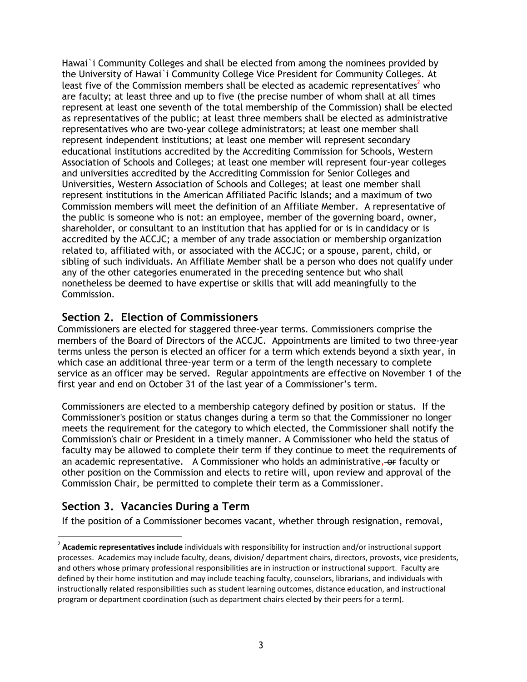Hawai`i Community Colleges and shall be elected from among the nominees provided by the University of Hawai`i Community College Vice President for Community Colleges. At least five of the Commission members shall be elected as academic representatives<sup>2</sup> who are faculty; at least three and up to five (the precise number of whom shall at all times represent at least one seventh of the total membership of the Commission) shall be elected as representatives of the public; at least three members shall be elected as administrative representatives who are two-year college administrators; at least one member shall represent independent institutions; at least one member will represent secondary educational institutions accredited by the Accrediting Commission for Schools, Western Association of Schools and Colleges; at least one member will represent four-year colleges and universities accredited by the Accrediting Commission for Senior Colleges and Universities, Western Association of Schools and Colleges; at least one member shall represent institutions in the American Affiliated Pacific Islands; and a maximum of two Commission members will meet the definition of an Affiliate Member. A representative of the public is someone who is not: an employee, member of the governing board, owner, shareholder, or consultant to an institution that has applied for or is in candidacy or is accredited by the ACCJC; a member of any trade association or membership organization related to, affiliated with, or associated with the ACCJC; or a spouse, parent, child, or sibling of such individuals. An Affiliate Member shall be a person who does not qualify under any of the other categories enumerated in the preceding sentence but who shall nonetheless be deemed to have expertise or skills that will add meaningfully to the Commission.

#### **Section 2. Election of Commissioners**

Commissioners are elected for staggered three-year terms. Commissioners comprise the members of the Board of Directors of the ACCJC. Appointments are limited to two three-year terms unless the person is elected an officer for a term which extends beyond a sixth year, in which case an additional three-year term or a term of the length necessary to complete service as an officer may be served. Regular appointments are effective on November 1 of the first year and end on October 31 of the last year of a Commissioner's term.

Commissioners are elected to a membership category defined by position or status. If the Commissioner's position or status changes during a term so that the Commissioner no longer meets the requirement for the category to which elected, the Commissioner shall notify the Commission's chair or President in a timely manner. A Commissioner who held the status of faculty may be allowed to complete their term if they continue to meet the requirements of an academic representative. A Commissioner who holds an administrative, or faculty or other position on the Commission and elects to retire will, upon review and approval of the Commission Chair, be permitted to complete their term as a Commissioner.

### **Section 3. Vacancies During a Term**

 $\ddot{\phantom{a}}$ 

If the position of a Commissioner becomes vacant, whether through resignation, removal,

<sup>2</sup> **Academic representatives include** individuals with responsibility for instruction and/or instructional support processes. Academics may include faculty, deans, division/ department chairs, directors, provosts, vice presidents, and others whose primary professional responsibilities are in instruction or instructional support. Faculty are defined by their home institution and may include teaching faculty, counselors, librarians, and individuals with instructionally related responsibilities such as student learning outcomes, distance education, and instructional program or department coordination (such as department chairs elected by their peers for a term).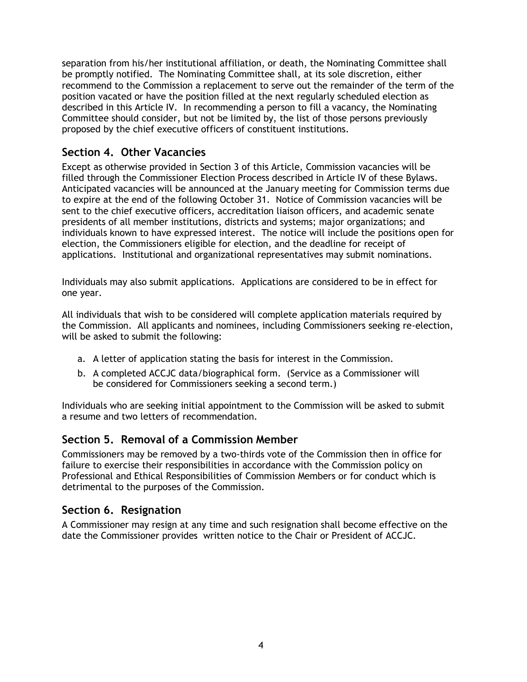separation from his/her institutional affiliation, or death, the Nominating Committee shall be promptly notified. The Nominating Committee shall, at its sole discretion, either recommend to the Commission a replacement to serve out the remainder of the term of the position vacated or have the position filled at the next regularly scheduled election as described in this Article IV. In recommending a person to fill a vacancy, the Nominating Committee should consider, but not be limited by, the list of those persons previously proposed by the chief executive officers of constituent institutions.

### **Section 4. Other Vacancies**

Except as otherwise provided in Section 3 of this Article, Commission vacancies will be filled through the Commissioner Election Process described in Article IV of these Bylaws. Anticipated vacancies will be announced at the January meeting for Commission terms due to expire at the end of the following October 31. Notice of Commission vacancies will be sent to the chief executive officers, accreditation liaison officers, and academic senate presidents of all member institutions, districts and systems; major organizations; and individuals known to have expressed interest. The notice will include the positions open for election, the Commissioners eligible for election, and the deadline for receipt of applications. Institutional and organizational representatives may submit nominations.

Individuals may also submit applications. Applications are considered to be in effect for one year.

All individuals that wish to be considered will complete application materials required by the Commission. All applicants and nominees, including Commissioners seeking re-election, will be asked to submit the following:

- a. A letter of application stating the basis for interest in the Commission.
- b. A completed ACCJC data/biographical form. (Service as a Commissioner will be considered for Commissioners seeking a second term.)

Individuals who are seeking initial appointment to the Commission will be asked to submit a resume and two letters of recommendation.

#### **Section 5. Removal of a Commission Member**

Commissioners may be removed by a two-thirds vote of the Commission then in office for failure to exercise their responsibilities in accordance with the Commission policy on Professional and Ethical Responsibilities of Commission Members or for conduct which is detrimental to the purposes of the Commission.

#### **Section 6. Resignation**

A Commissioner may resign at any time and such resignation shall become effective on the date the Commissioner provides written notice to the Chair or President of ACCJC.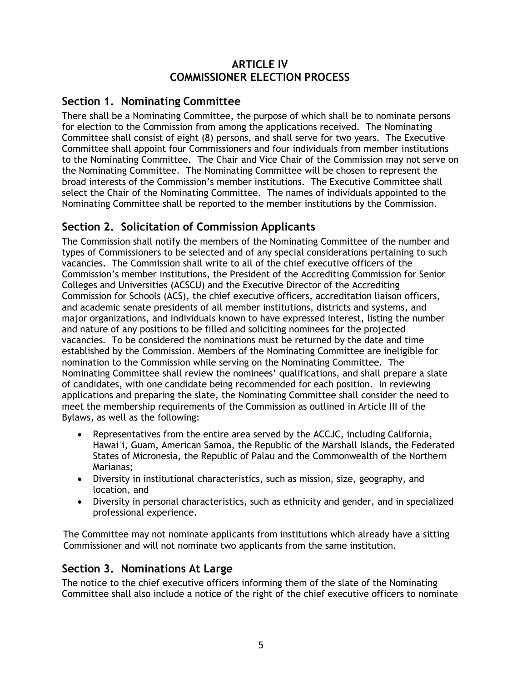### **ARTICLE IV COMMISSIONER ELECTION PROCESS**

### **Section 1. Nominating Committee**

There shall be a Nominating Committee, the purpose of which shall be to nominate persons for election to the Commission from among the applications received. The Nominating Committee shall consist of eight (8) persons, and shall serve for two years. The Executive Committee shall appoint four Commissioners and four individuals from member institutions to the Nominating Committee. The Chair and Vice Chair of the Commission may not serve on the Nominating Committee. The Nominating Committee will be chosen to represent the broad interests of the Commission's member institutions. The Executive Committee shall select the Chair of the Nominating Committee. The names of individuals appointed to the Nominating Committee shall be reported to the member institutions by the Commission.

### **Section 2. Solicitation of Commission Applicants**

The Commission shall notify the members of the Nominating Committee of the number and types of Commissioners to be selected and of any special considerations pertaining to such vacancies. The Commission shall write to all of the chief executive officers of the Commission's member institutions, the President of the Accrediting Commission for Senior Colleges and Universities (ACSCU) and the Executive Director of the Accrediting Commission for Schools (ACS), the chief executive officers, accreditation liaison officers, and academic senate presidents of all member institutions, districts and systems, and major organizations, and individuals known to have expressed interest, listing the number and nature of any positions to be filled and soliciting nominees for the projected vacancies. To be considered the nominations must be returned by the date and time established by the Commission. Members of the Nominating Committee are ineligible for nomination to the Commission while serving on the Nominating Committee. The Nominating Committee shall review the nominees' qualifications, and shall prepare a slate of candidates, with one candidate being recommended for each position. In reviewing applications and preparing the slate, the Nominating Committee shall consider the need to meet the membership requirements of the Commission as outlined in Article III of the Bylaws, as well as the following:

- Representatives from the entire area served by the ACCJC, including California, Hawai'i, Guam, American Samoa, the Republic of the Marshall Islands, the Federated States of Micronesia, the Republic of Palau and the Commonwealth of the Northern Marianas;
- Diversity in institutional characteristics, such as mission, size, geography, and location, and
- Diversity in personal characteristics, such as ethnicity and gender, and in specialized professional experience.

 The Committee may not nominate applicants from institutions which already have a sitting Commissioner and will not nominate two applicants from the same institution.

#### **Section 3. Nominations At Large**

The notice to the chief executive officers informing them of the slate of the Nominating Committee shall also include a notice of the right of the chief executive officers to nominate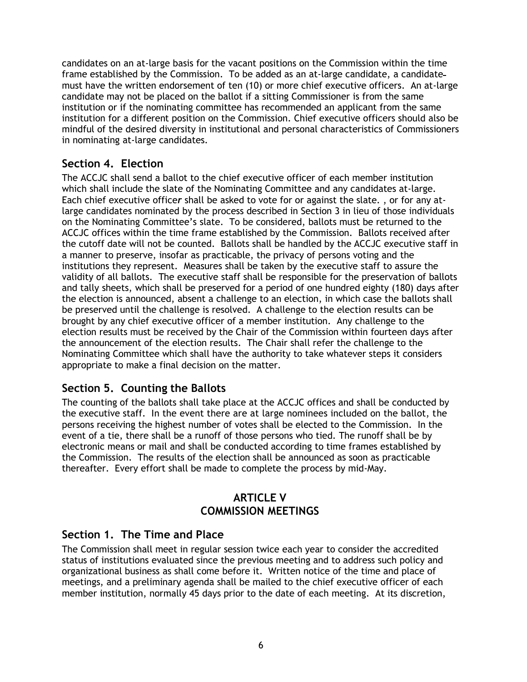candidates on an at-large basis for the vacant positions on the Commission within the time frame established by the Commission. To be added as an at-large candidate, a candidate must have the written endorsement of ten (10) or more chief executive officers. An at-large candidate may not be placed on the ballot if a sitting Commissioner is from the same institution or if the nominating committee has recommended an applicant from the same institution for a different position on the Commission. Chief executive officers should also be mindful of the desired diversity in institutional and personal characteristics of Commissioners in nominating at-large candidates.

### **Section 4. Election**

The ACCJC shall send a ballot to the chief executive officer of each member institution which shall include the slate of the Nominating Committee and any candidates at-large. Each chief executive office*r* shall be asked to vote for or against the slate. , or for any atlarge candidates nominated by the process described in Section 3 in lieu of those individuals on the Nominating Committee's slate. To be considered, ballots must be returned to the ACCJC offices within the time frame established by the Commission. Ballots received after the cutoff date will not be counted. Ballots shall be handled by the ACCJC executive staff in a manner to preserve, insofar as practicable, the privacy of persons voting and the institutions they represent. Measures shall be taken by the executive staff to assure the validity of all ballots. The executive staff shall be responsible for the preservation of ballots and tally sheets, which shall be preserved for a period of one hundred eighty (180) days after the election is announced, absent a challenge to an election, in which case the ballots shall be preserved until the challenge is resolved. A challenge to the election results can be brought by any chief executive officer of a member institution. Any challenge to the election results must be received by the Chair of the Commission within fourteen days after the announcement of the election results. The Chair shall refer the challenge to the Nominating Committee which shall have the authority to take whatever steps it considers appropriate to make a final decision on the matter.

### **Section 5. Counting the Ballots**

The counting of the ballots shall take place at the ACCJC offices and shall be conducted by the executive staff. In the event there are at large nominees included on the ballot, the persons receiving the highest number of votes shall be elected to the Commission. In the event of a tie, there shall be a runoff of those persons who tied. The runoff shall be by electronic means or mail and shall be conducted according to time frames established by the Commission. The results of the election shall be announced as soon as practicable thereafter. Every effort shall be made to complete the process by mid-May.

#### **ARTICLE V COMMISSION MEETINGS**

#### **Section 1. The Time and Place**

The Commission shall meet in regular session twice each year to consider the accredited status of institutions evaluated since the previous meeting and to address such policy and organizational business as shall come before it. Written notice of the time and place of meetings, and a preliminary agenda shall be mailed to the chief executive officer of each member institution, normally 45 days prior to the date of each meeting. At its discretion,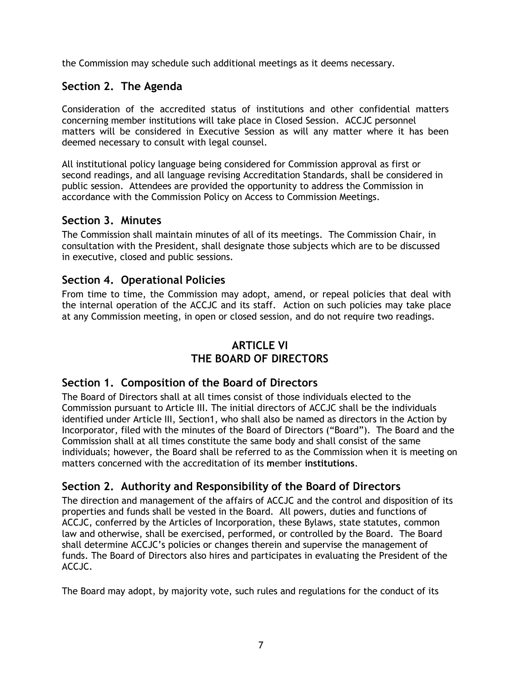the Commission may schedule such additional meetings as it deems necessary.

### **Section 2. The Agenda**

Consideration of the accredited status of institutions and other confidential matters concerning member institutions will take place in Closed Session. ACCJC personnel matters will be considered in Executive Session as will any matter where it has been deemed necessary to consult with legal counsel.

All institutional policy language being considered for Commission approval as first or second readings, and all language revising Accreditation Standards, shall be considered in public session. Attendees are provided the opportunity to address the Commission in accordance with the Commission Policy on Access to Commission Meetings.

#### **Section 3. Minutes**

The Commission shall maintain minutes of all of its meetings. The Commission Chair, in consultation with the President, shall designate those subjects which are to be discussed in executive, closed and public sessions.

#### **Section 4. Operational Policies**

From time to time, the Commission may adopt, amend, or repeal policies that deal with the internal operation of the ACCJC and its staff. Action on such policies may take place at any Commission meeting, in open or closed session, and do not require two readings.

### **ARTICLE VI THE BOARD OF DIRECTORS**

#### **Section 1. Composition of the Board of Directors**

The Board of Directors shall at all times consist of those individuals elected to the Commission pursuant to Article III. The initial directors of ACCJC shall be the individuals identified under Article III, Section1, who shall also be named as directors in the Action by Incorporator, filed with the minutes of the Board of Directors ("Board"). The Board and the Commission shall at all times constitute the same body and shall consist of the same individuals; however, the Board shall be referred to as the Commission when it is meeting on matters concerned with the accreditation of its **m**ember **institutions**.

### **Section 2. Authority and Responsibility of the Board of Directors**

The direction and management of the affairs of ACCJC and the control and disposition of its properties and funds shall be vested in the Board. All powers, duties and functions of ACCJC, conferred by the Articles of Incorporation, these Bylaws, state statutes, common law and otherwise, shall be exercised, performed, or controlled by the Board. The Board shall determine ACCJC's policies or changes therein and supervise the management of funds. The Board of Directors also hires and participates in evaluating the President of the ACCJC.

The Board may adopt, by majority vote, such rules and regulations for the conduct of its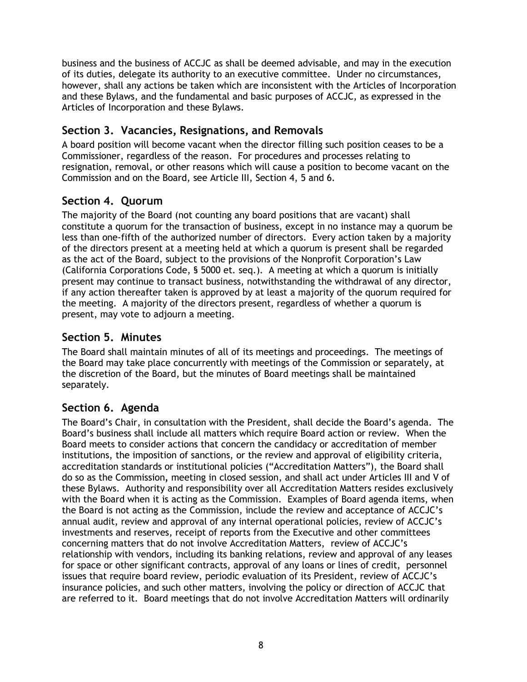business and the business of ACCJC as shall be deemed advisable, and may in the execution of its duties, delegate its authority to an executive committee. Under no circumstances, however, shall any actions be taken which are inconsistent with the Articles of Incorporation and these Bylaws, and the fundamental and basic purposes of ACCJC, as expressed in the Articles of Incorporation and these Bylaws.

### **Section 3. Vacancies, Resignations, and Removals**

A board position will become vacant when the director filling such position ceases to be a Commissioner, regardless of the reason. For procedures and processes relating to resignation, removal, or other reasons which will cause a position to become vacant on the Commission and on the Board, see Article III, Section 4, 5 and 6.

### **Section 4. Quorum**

The majority of the Board (not counting any board positions that are vacant) shall constitute a quorum for the transaction of business, except in no instance may a quorum be less than one-fifth of the authorized number of directors. Every action taken by a majority of the directors present at a meeting held at which a quorum is present shall be regarded as the act of the Board, subject to the provisions of the Nonprofit Corporation's Law (California Corporations Code, § 5000 et. seq.). A meeting at which a quorum is initially present may continue to transact business, notwithstanding the withdrawal of any director, if any action thereafter taken is approved by at least a majority of the quorum required for the meeting. A majority of the directors present, regardless of whether a quorum is present, may vote to adjourn a meeting.

### **Section 5. Minutes**

The Board shall maintain minutes of all of its meetings and proceedings. The meetings of the Board may take place concurrently with meetings of the Commission or separately, at the discretion of the Board, but the minutes of Board meetings shall be maintained separately.

#### **Section 6. Agenda**

The Board's Chair, in consultation with the President, shall decide the Board's agenda. The Board's business shall include all matters which require Board action or review. When the Board meets to consider actions that concern the candidacy or accreditation of member institutions, the imposition of sanctions, or the review and approval of eligibility criteria, accreditation standards or institutional policies ("Accreditation Matters"), the Board shall do so as the Commission*,* meeting in closed session, and shall act under Articles III and V of these Bylaws. Authority and responsibility over all Accreditation Matters resides exclusively with the Board when it is acting as the Commission. Examples of Board agenda items, when the Board is not acting as the Commission, include the review and acceptance of ACCJC's annual audit, review and approval of any internal operational policies, review of ACCJC's investments and reserves, receipt of reports from the Executive and other committees concerning matters that do not involve Accreditation Matters, review of ACCJC's relationship with vendors, including its banking relations, review and approval of any leases for space or other significant contracts, approval of any loans or lines of credit, personnel issues that require board review, periodic evaluation of its President, review of ACCJC's insurance policies, and such other matters, involving the policy or direction of ACCJC that are referred to it. Board meetings that do not involve Accreditation Matters will ordinarily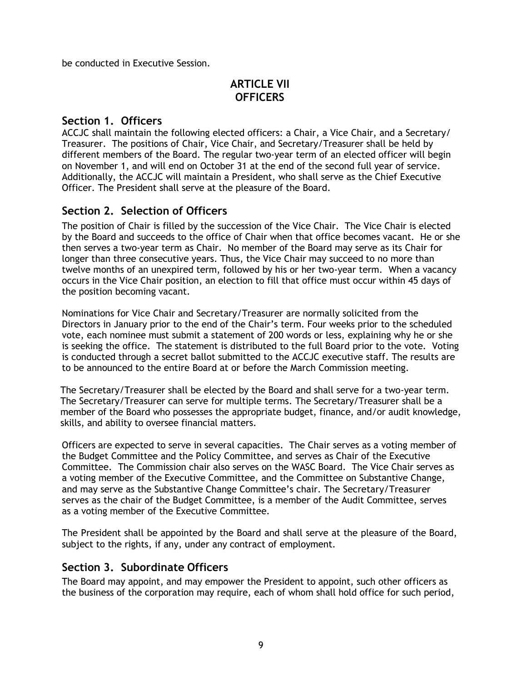be conducted in Executive Session.

### **ARTICLE VII OFFICERS**

#### **Section 1. Officers**

ACCJC shall maintain the following elected officers: a Chair, a Vice Chair, and a Secretary/ Treasurer. The positions of Chair, Vice Chair, and Secretary/Treasurer shall be held by different members of the Board. The regular two-year term of an elected officer will begin on November 1, and will end on October 31 at the end of the second full year of service. Additionally, the ACCJC will maintain a President, who shall serve as the Chief Executive Officer. The President shall serve at the pleasure of the Board.

#### **Section 2. Selection of Officers**

The position of Chair is filled by the succession of the Vice Chair. The Vice Chair is elected by the Board and succeeds to the office of Chair when that office becomes vacant. He or she then serves a two-year term as Chair. No member of the Board may serve as its Chair for longer than three consecutive years. Thus, the Vice Chair may succeed to no more than twelve months of an unexpired term, followed by his or her two-year term. When a vacancy occurs in the Vice Chair position, an election to fill that office must occur within 45 days of the position becoming vacant.

Nominations for Vice Chair and Secretary/Treasurer are normally solicited from the Directors in January prior to the end of the Chair's term. Four weeks prior to the scheduled vote, each nominee must submit a statement of 200 words or less, explaining why he or she is seeking the office. The statement is distributed to the full Board prior to the vote. Voting is conducted through a secret ballot submitted to the ACCJC executive staff. The results are to be announced to the entire Board at or before the March Commission meeting.

The Secretary/Treasurer shall be elected by the Board and shall serve for a two-year term. The Secretary/Treasurer can serve for multiple terms. The Secretary/Treasurer shall be a member of the Board who possesses the appropriate budget, finance, and/or audit knowledge, skills, and ability to oversee financial matters.

Officers are expected to serve in several capacities. The Chair serves as a voting member of the Budget Committee and the Policy Committee, and serves as Chair of the Executive Committee. The Commission chair also serves on the WASC Board. The Vice Chair serves as a voting member of the Executive Committee, and the Committee on Substantive Change, and may serve as the Substantive Change Committee's chair. The Secretary/Treasurer serves as the chair of the Budget Committee, is a member of the Audit Committee, serves as a voting member of the Executive Committee.

The President shall be appointed by the Board and shall serve at the pleasure of the Board, subject to the rights, if any, under any contract of employment.

#### **Section 3. Subordinate Officers**

The Board may appoint, and may empower the President to appoint, such other officers as the business of the corporation may require, each of whom shall hold office for such period,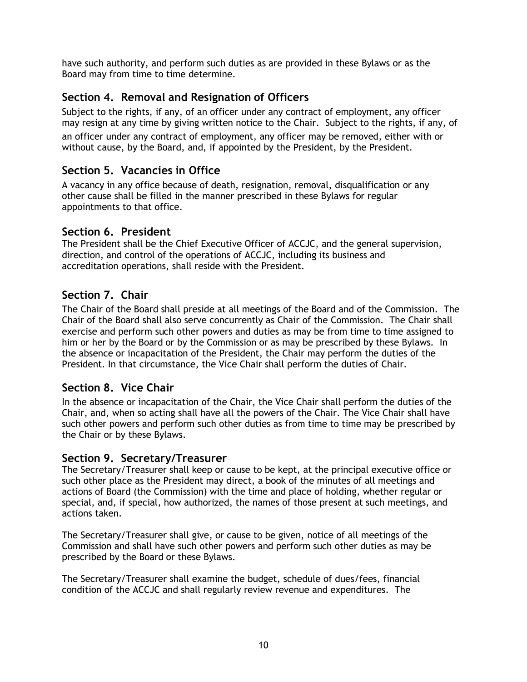have such authority, and perform such duties as are provided in these Bylaws or as the Board may from time to time determine.

### **Section 4. Removal and Resignation of Officers**

Subject to the rights, if any, of an officer under any contract of employment, any officer may resign at any time by giving written notice to the Chair. Subject to the rights, if any, of an officer under any contract of employment, any officer may be removed, either with or without cause, by the Board, and, if appointed by the President, by the President.

### **Section 5. Vacancies in Office**

A vacancy in any office because of death, resignation, removal, disqualification or any other cause shall be filled in the manner prescribed in these Bylaws for regular appointments to that office.

#### **Section 6. President**

The President shall be the Chief Executive Officer of ACCJC, and the general supervision, direction, and control of the operations of ACCJC, including its business and accreditation operations, shall reside with the President.

### **Section 7. Chair**

The Chair of the Board shall preside at all meetings of the Board and of the Commission. The Chair of the Board shall also serve concurrently as Chair of the Commission. The Chair shall exercise and perform such other powers and duties as may be from time to time assigned to him or her by the Board or by the Commission or as may be prescribed by these Bylaws. In the absence or incapacitation of the President, the Chair may perform the duties of the President. In that circumstance, the Vice Chair shall perform the duties of Chair.

### **Section 8. Vice Chair**

In the absence or incapacitation of the Chair, the Vice Chair shall perform the duties of the Chair, and, when so acting shall have all the powers of the Chair. The Vice Chair shall have such other powers and perform such other duties as from time to time may be prescribed by the Chair or by these Bylaws.

#### **Section 9. Secretary/Treasurer**

The Secretary/Treasurer shall keep or cause to be kept, at the principal executive office or such other place as the President may direct, a book of the minutes of all meetings and actions of Board (the Commission) with the time and place of holding, whether regular or special, and, if special, how authorized, the names of those present at such meetings, and actions taken.

The Secretary/Treasurer shall give, or cause to be given, notice of all meetings of the Commission and shall have such other powers and perform such other duties as may be prescribed by the Board or these Bylaws.

The Secretary/Treasurer shall examine the budget, schedule of dues/fees, financial condition of the ACCJC and shall regularly review revenue and expenditures. The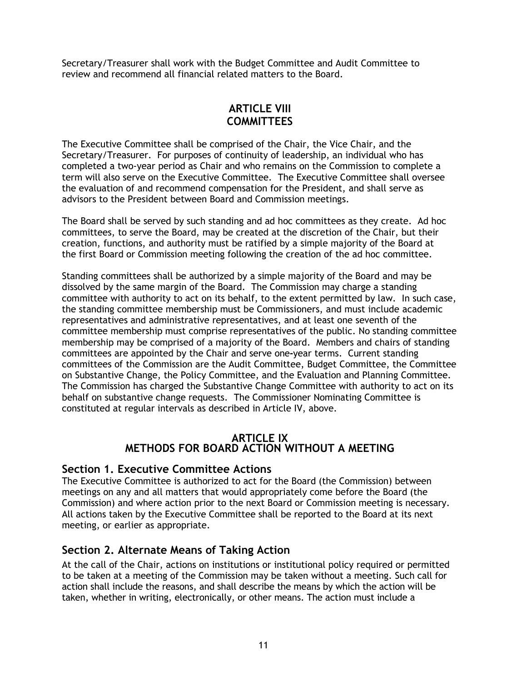Secretary/Treasurer shall work with the Budget Committee and Audit Committee to review and recommend all financial related matters to the Board.

#### **ARTICLE VIII COMMITTEES**

The Executive Committee shall be comprised of the Chair, the Vice Chair, and the Secretary/Treasurer. For purposes of continuity of leadership, an individual who has completed a two-year period as Chair and who remains on the Commission to complete a term will also serve on the Executive Committee. The Executive Committee shall oversee the evaluation of and recommend compensation for the President, and shall serve as advisors to the President between Board and Commission meetings.

The Board shall be served by such standing and ad hoc committees as they create. Ad hoc committees, to serve the Board, may be created at the discretion of the Chair, but their creation, functions, and authority must be ratified by a simple majority of the Board at the first Board or Commission meeting following the creation of the ad hoc committee.

Standing committees shall be authorized by a simple majority of the Board and may be dissolved by the same margin of the Board. The Commission may charge a standing committee with authority to act on its behalf, to the extent permitted by law. In such case, the standing committee membership must be Commissioners, and must include academic representatives and administrative representatives, and at least one seventh of the committee membership must comprise representatives of the public. No standing committee membership may be comprised of a majority of the Board. Members and chairs of standing committees are appointed by the Chair and serve one*-*year terms. Current standing committees of the Commission are the Audit Committee, Budget Committee, the Committee on Substantive Change, the Policy Committee, and the Evaluation and Planning Committee. The Commission has charged the Substantive Change Committee with authority to act on its behalf on substantive change requests. The Commissioner Nominating Committee is constituted at regular intervals as described in Article IV, above.

#### **ARTICLE IX METHODS FOR BOARD ACTION WITHOUT A MEETING**

#### **Section 1. Executive Committee Actions**

The Executive Committee is authorized to act for the Board (the Commission) between meetings on any and all matters that would appropriately come before the Board (the Commission) and where action prior to the next Board or Commission meeting is necessary. All actions taken by the Executive Committee shall be reported to the Board at its next meeting, or earlier as appropriate.

### **Section 2. Alternate Means of Taking Action**

At the call of the Chair, actions on institutions or institutional policy required or permitted to be taken at a meeting of the Commission may be taken without a meeting. Such call for action shall include the reasons, and shall describe the means by which the action will be taken, whether in writing, electronically, or other means. The action must include a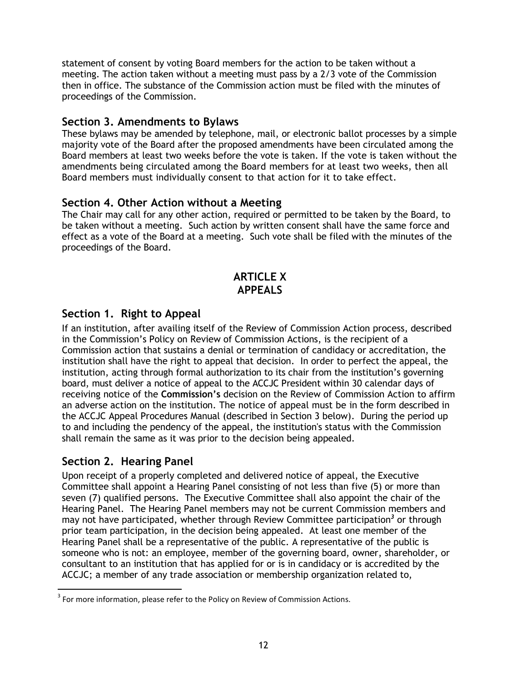statement of consent by voting Board members for the action to be taken without a meeting. The action taken without a meeting must pass by a 2/3 vote of the Commission then in office. The substance of the Commission action must be filed with the minutes of proceedings of the Commission.

#### **Section 3. Amendments to Bylaws**

These bylaws may be amended by telephone, mail, or electronic ballot processes by a simple majority vote of the Board after the proposed amendments have been circulated among the Board members at least two weeks before the vote is taken. If the vote is taken without the amendments being circulated among the Board members for at least two weeks, then all Board members must individually consent to that action for it to take effect.

#### **Section 4. Other Action without a Meeting**

The Chair may call for any other action, required or permitted to be taken by the Board, to be taken without a meeting. Such action by written consent shall have the same force and effect as a vote of the Board at a meeting. Such vote shall be filed with the minutes of the proceedings of the Board.

### **ARTICLE X APPEALS**

### **Section 1. Right to Appeal**

If an institution, after availing itself of the Review of Commission Action process, described in the Commission's Policy on Review of Commission Actions, is the recipient of a Commission action that sustains a denial or termination of candidacy or accreditation, the institution shall have the right to appeal that decision. In order to perfect the appeal, the institution, acting through formal authorization to its chair from the institution's governing board, must deliver a notice of appeal to the ACCJC President within 30 calendar days of receiving notice of the **Commission's** decision on the Review of Commission Action to affirm an adverse action on the institution. The notice of appeal must be in the form described in the ACCJC Appeal Procedures Manual (described in Section 3 below). During the period up to and including the pendency of the appeal, the institution's status with the Commission shall remain the same as it was prior to the decision being appealed.

### **Section 2. Hearing Panel**

 $\overline{a}$ 

Upon receipt of a properly completed and delivered notice of appeal, the Executive Committee shall appoint a Hearing Panel consisting of not less than five (5) or more than seven (7) qualified persons. The Executive Committee shall also appoint the chair of the Hearing Panel. The Hearing Panel members may not be current Commission members and may not have participated, whether through Review Committee participation<sup>3</sup> or through prior team participation, in the decision being appealed. At least one member of the Hearing Panel shall be a representative of the public. A representative of the public is someone who is not: an employee, member of the governing board, owner, shareholder, or consultant to an institution that has applied for or is in candidacy or is accredited by the ACCJC; a member of any trade association or membership organization related to,

 $3$  For more information, please refer to the Policy on Review of Commission Actions.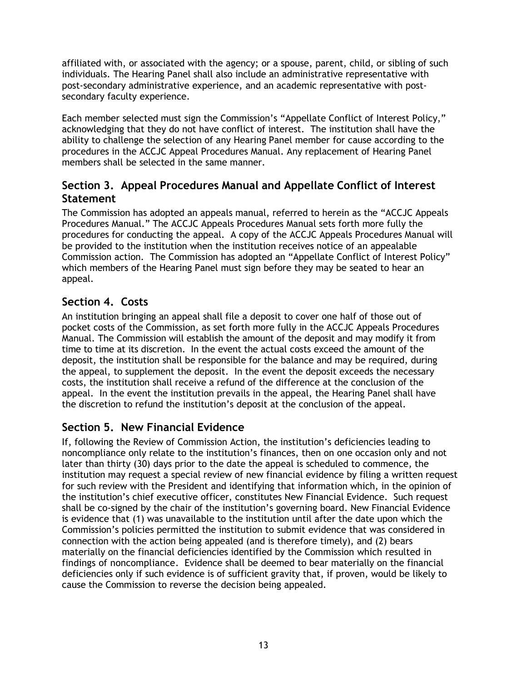affiliated with, or associated with the agency; or a spouse, parent, child, or sibling of such individuals. The Hearing Panel shall also include an administrative representative with post-secondary administrative experience, and an academic representative with postsecondary faculty experience.

Each member selected must sign the Commission's "Appellate Conflict of Interest Policy," acknowledging that they do not have conflict of interest. The institution shall have the ability to challenge the selection of any Hearing Panel member for cause according to the procedures in the ACCJC Appeal Procedures Manual. Any replacement of Hearing Panel members shall be selected in the same manner.

### **Section 3. Appeal Procedures Manual and Appellate Conflict of Interest Statement**

The Commission has adopted an appeals manual, referred to herein as the "ACCJC Appeals Procedures Manual." The ACCJC Appeals Procedures Manual sets forth more fully the procedures for conducting the appeal. A copy of the ACCJC Appeals Procedures Manual will be provided to the institution when the institution receives notice of an appealable Commission action. The Commission has adopted an "Appellate Conflict of Interest Policy" which members of the Hearing Panel must sign before they may be seated to hear an appeal.

# **Section 4. Costs**

An institution bringing an appeal shall file a deposit to cover one half of those out of pocket costs of the Commission, as set forth more fully in the ACCJC Appeals Procedures Manual. The Commission will establish the amount of the deposit and may modify it from time to time at its discretion. In the event the actual costs exceed the amount of the deposit, the institution shall be responsible for the balance and may be required, during the appeal, to supplement the deposit. In the event the deposit exceeds the necessary costs, the institution shall receive a refund of the difference at the conclusion of the appeal. In the event the institution prevails in the appeal, the Hearing Panel shall have the discretion to refund the institution's deposit at the conclusion of the appeal.

### **Section 5. New Financial Evidence**

If, following the Review of Commission Action, the institution's deficiencies leading to noncompliance only relate to the institution's finances, then on one occasion only and not later than thirty (30) days prior to the date the appeal is scheduled to commence*,* the institution may request a special review of new financial evidence by filing a written request for such review with the President and identifying that information which, in the opinion of the institution's chief executive officer, constitutes New Financial Evidence. Such request shall be co-signed by the chair of the institution's governing board. New Financial Evidence is evidence that (1) was unavailable to the institution until after the date upon which the Commission's policies permitted the institution to submit evidence that was considered in connection with the action being appealed (and is therefore timely), and (2) bears materially on the financial deficiencies identified by the Commission which resulted in findings of noncompliance. Evidence shall be deemed to bear materially on the financial deficiencies only if such evidence is of sufficient gravity that, if proven, would be likely to cause the Commission to reverse the decision being appealed.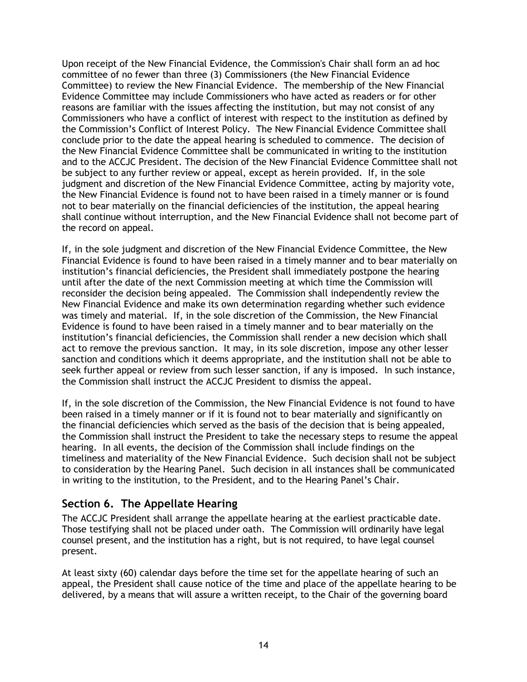Upon receipt of the New Financial Evidence, the Commission's Chair shall form an ad hoc committee of no fewer than three (3) Commissioners (the New Financial Evidence Committee) to review the New Financial Evidence. The membership of the New Financial Evidence Committee may include Commissioners who have acted as readers or for other reasons are familiar with the issues affecting the institution, but may not consist of any Commissioners who have a conflict of interest with respect to the institution as defined by the Commission's Conflict of Interest Policy. The New Financial Evidence Committee shall conclude prior to the date the appeal hearing is scheduled to commence. The decision of the New Financial Evidence Committee shall be communicated in writing to the institution and to the ACCJC President. The decision of the New Financial Evidence Committee shall not be subject to any further review or appeal, except as herein provided. If, in the sole judgment and discretion of the New Financial Evidence Committee, acting by majority vote, the New Financial Evidence is found not to have been raised in a timely manner or is found not to bear materially on the financial deficiencies of the institution, the appeal hearing shall continue without interruption, and the New Financial Evidence shall not become part of the record on appeal.

If, in the sole judgment and discretion of the New Financial Evidence Committee, the New Financial Evidence is found to have been raised in a timely manner and to bear materially on institution's financial deficiencies, the President shall immediately postpone the hearing until after the date of the next Commission meeting at which time the Commission will reconsider the decision being appealed. The Commission shall independently review the New Financial Evidence and make its own determination regarding whether such evidence was timely and material. If, in the sole discretion of the Commission, the New Financial Evidence is found to have been raised in a timely manner and to bear materially on the institution's financial deficiencies, the Commission shall render a new decision which shall act to remove the previous sanction. It may, in its sole discretion, impose any other lesser sanction and conditions which it deems appropriate, and the institution shall not be able to seek further appeal or review from such lesser sanction, if any is imposed. In such instance, the Commission shall instruct the ACCJC President to dismiss the appeal.

If, in the sole discretion of the Commission, the New Financial Evidence is not found to have been raised in a timely manner or if it is found not to bear materially and significantly on the financial deficiencies which served as the basis of the decision that is being appealed, the Commission shall instruct the President to take the necessary steps to resume the appeal hearing. In all events, the decision of the Commission shall include findings on the timeliness and materiality of the New Financial Evidence. Such decision shall not be subject to consideration by the Hearing Panel. Such decision in all instances shall be communicated in writing to the institution, to the President, and to the Hearing Panel's Chair.

### **Section 6. The Appellate Hearing**

The ACCJC President shall arrange the appellate hearing at the earliest practicable date. Those testifying shall not be placed under oath. The Commission will ordinarily have legal counsel present, and the institution has a right, but is not required, to have legal counsel present.

At least sixty (60) calendar days before the time set for the appellate hearing of such an appeal, the President shall cause notice of the time and place of the appellate hearing to be delivered, by a means that will assure a written receipt, to the Chair of the governing board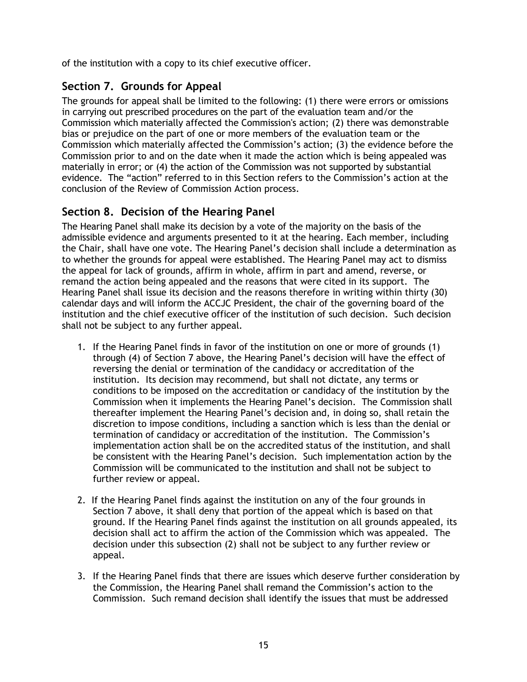of the institution with a copy to its chief executive officer.

### **Section 7. Grounds for Appeal**

The grounds for appeal shall be limited to the following: (1) there were errors or omissions in carrying out prescribed procedures on the part of the evaluation team and/or the Commission which materially affected the Commission's action; (2) there was demonstrable bias or prejudice on the part of one or more members of the evaluation team or the Commission which materially affected the Commission's action; (3) the evidence before the Commission prior to and on the date when it made the action which is being appealed was materially in error; or (4) the action of the Commission was not supported by substantial evidence. The "action" referred to in this Section refers to the Commission's action at the conclusion of the Review of Commission Action process.

### **Section 8. Decision of the Hearing Panel**

The Hearing Panel shall make its decision by a vote of the majority on the basis of the admissible evidence and arguments presented to it at the hearing. Each member, including the Chair, shall have one vote. The Hearing Panel's decision shall include a determination as to whether the grounds for appeal were established. The Hearing Panel may act to dismiss the appeal for lack of grounds, affirm in whole, affirm in part and amend, reverse, or remand the action being appealed and the reasons that were cited in its support. The Hearing Panel shall issue its decision and the reasons therefore in writing within thirty (30) calendar days and will inform the ACCJC President, the chair of the governing board of the institution and the chief executive officer of the institution of such decision. Such decision shall not be subject to any further appeal.

- 1. If the Hearing Panel finds in favor of the institution on one or more of grounds (1) through (4) of Section 7 above, the Hearing Panel's decision will have the effect of reversing the denial or termination of the candidacy or accreditation of the institution. Its decision may recommend, but shall not dictate, any terms or conditions to be imposed on the accreditation or candidacy of the institution by the Commission when it implements the Hearing Panel's decision. The Commission shall thereafter implement the Hearing Panel's decision and, in doing so, shall retain the discretion to impose conditions, including a sanction which is less than the denial or termination of candidacy or accreditation of the institution. The Commission's implementation action shall be on the accredited status of the institution, and shall be consistent with the Hearing Panel's decision. Such implementation action by the Commission will be communicated to the institution and shall not be subject to further review or appeal.
- 2. If the Hearing Panel finds against the institution on any of the four grounds in Section 7 above, it shall deny that portion of the appeal which is based on that ground. If the Hearing Panel finds against the institution on all grounds appealed, its decision shall act to affirm the action of the Commission which was appealed. The decision under this subsection (2) shall not be subject to any further review or appeal.
- 3. If the Hearing Panel finds that there are issues which deserve further consideration by the Commission, the Hearing Panel shall remand the Commission's action to the Commission. Such remand decision shall identify the issues that must be addressed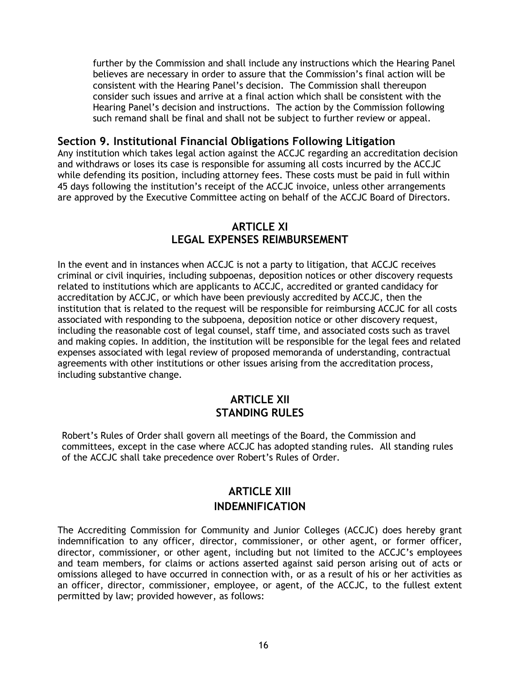further by the Commission and shall include any instructions which the Hearing Panel believes are necessary in order to assure that the Commission's final action will be consistent with the Hearing Panel's decision. The Commission shall thereupon consider such issues and arrive at a final action which shall be consistent with the Hearing Panel's decision and instructions. The action by the Commission following such remand shall be final and shall not be subject to further review or appeal.

#### **Section 9. Institutional Financial Obligations Following Litigation**

Any institution which takes legal action against the ACCJC regarding an accreditation decision and withdraws or loses its case is responsible for assuming all costs incurred by the ACCJC while defending its position, including attorney fees. These costs must be paid in full within 45 days following the institution's receipt of the ACCJC invoice, unless other arrangements are approved by the Executive Committee acting on behalf of the ACCJC Board of Directors.

#### **ARTICLE XI LEGAL EXPENSES REIMBURSEMENT**

In the event and in instances when ACCJC is not a party to litigation, that ACCJC receives criminal or civil inquiries, including subpoenas, deposition notices or other discovery requests related to institutions which are applicants to ACCJC, accredited or granted candidacy for accreditation by ACCJC, or which have been previously accredited by ACCJC, then the institution that is related to the request will be responsible for reimbursing ACCJC for all costs associated with responding to the subpoena, deposition notice or other discovery request, including the reasonable cost of legal counsel, staff time, and associated costs such as travel and making copies. In addition, the institution will be responsible for the legal fees and related expenses associated with legal review of proposed memoranda of understanding, contractual agreements with other institutions or other issues arising from the accreditation process, including substantive change.

#### **ARTICLE XII STANDING RULES**

Robert's Rules of Order shall govern all meetings of the Board, the Commission and committees, except in the case where ACCJC has adopted standing rules. All standing rules of the ACCJC shall take precedence over Robert's Rules of Order.

### **ARTICLE XIII INDEMNIFICATION**

The Accrediting Commission for Community and Junior Colleges (ACCJC) does hereby grant indemnification to any officer, director, commissioner, or other agent, or former officer, director, commissioner, or other agent, including but not limited to the ACCJC's employees and team members, for claims or actions asserted against said person arising out of acts or omissions alleged to have occurred in connection with, or as a result of his or her activities as an officer, director, commissioner, employee, or agent, of the ACCJC, to the fullest extent permitted by law; provided however, as follows: